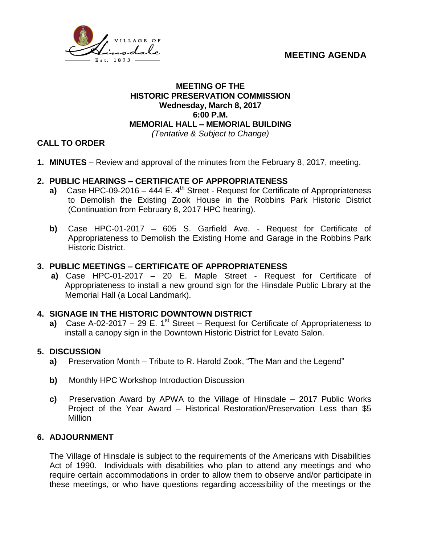



### **MEETING OF THE HISTORIC PRESERVATION COMMISSION Wednesday, March 8, 2017 6:00 P.M. MEMORIAL HALL – MEMORIAL BUILDING** *(Tentative & Subject to Change)*

# **CALL TO ORDER**

**1. MINUTES** – Review and approval of the minutes from the February 8, 2017, meeting.

# **2. PUBLIC HEARINGS – CERTIFICATE OF APPROPRIATENESS**

- **a)** Case HPC-09-2016 444 E.  $4^{\text{th}}$  Street Request for Certificate of Appropriateness to Demolish the Existing Zook House in the Robbins Park Historic District (Continuation from February 8, 2017 HPC hearing).
- **b)** Case HPC-01-2017 605 S. Garfield Ave. Request for Certificate of Appropriateness to Demolish the Existing Home and Garage in the Robbins Park Historic District.

## **3. PUBLIC MEETINGS – CERTIFICATE OF APPROPRIATENESS**

 **a)** Case HPC-01-2017 – 20 E. Maple Street - Request for Certificate of Appropriateness to install a new ground sign for the Hinsdale Public Library at the Memorial Hall (a Local Landmark).

# **4. SIGNAGE IN THE HISTORIC DOWNTOWN DISTRICT**

**a)** Case A-02-2017 – 29 E. 1<sup>st</sup> Street – Request for Certificate of Appropriateness to install a canopy sign in the Downtown Historic District for Levato Salon.

#### **5. DISCUSSION**

- **a)** Preservation Month Tribute to R. Harold Zook, "The Man and the Legend"
- **b)** Monthly HPC Workshop Introduction Discussion
- **c)** Preservation Award by APWA to the Village of Hinsdale 2017 Public Works Project of the Year Award – Historical Restoration/Preservation Less than \$5 Million

#### **6. ADJOURNMENT**

The Village of Hinsdale is subject to the requirements of the Americans with Disabilities Act of 1990. Individuals with disabilities who plan to attend any meetings and who require certain accommodations in order to allow them to observe and/or participate in these meetings, or who have questions regarding accessibility of the meetings or the